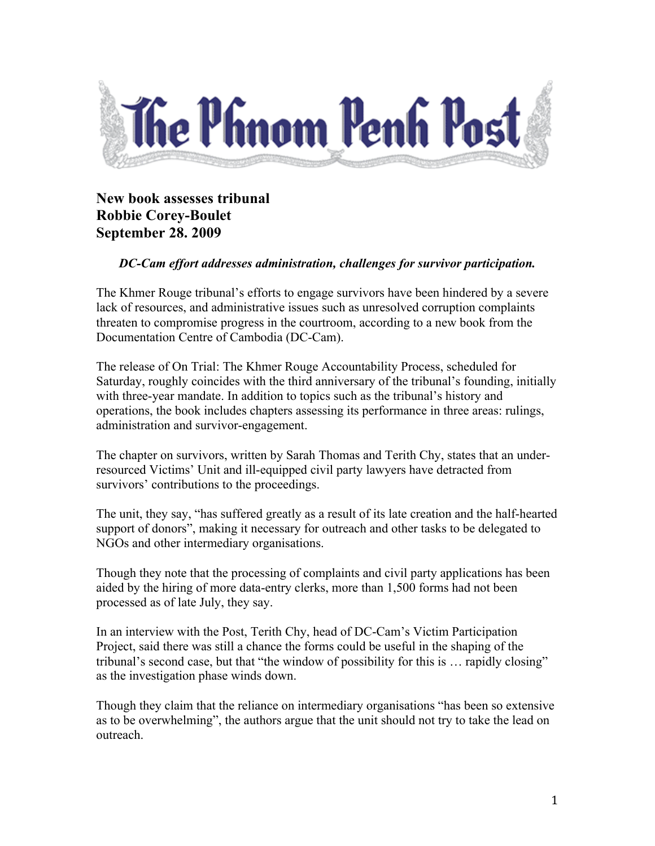

## **New book assesses tribunal Robbie Corey-Boulet September 28. 2009**

## *DC-Cam effort addresses administration, challenges for survivor participation.*

The Khmer Rouge tribunal's efforts to engage survivors have been hindered by a severe lack of resources, and administrative issues such as unresolved corruption complaints threaten to compromise progress in the courtroom, according to a new book from the Documentation Centre of Cambodia (DC-Cam).

The release of On Trial: The Khmer Rouge Accountability Process, scheduled for Saturday, roughly coincides with the third anniversary of the tribunal's founding, initially with three-year mandate. In addition to topics such as the tribunal's history and operations, the book includes chapters assessing its performance in three areas: rulings, administration and survivor-engagement.

The chapter on survivors, written by Sarah Thomas and Terith Chy, states that an underresourced Victims' Unit and ill-equipped civil party lawyers have detracted from survivors' contributions to the proceedings.

The unit, they say, "has suffered greatly as a result of its late creation and the half-hearted support of donors", making it necessary for outreach and other tasks to be delegated to NGOs and other intermediary organisations.

Though they note that the processing of complaints and civil party applications has been aided by the hiring of more data-entry clerks, more than 1,500 forms had not been processed as of late July, they say.

In an interview with the Post, Terith Chy, head of DC-Cam's Victim Participation Project, said there was still a chance the forms could be useful in the shaping of the tribunal's second case, but that "the window of possibility for this is … rapidly closing" as the investigation phase winds down.

Though they claim that the reliance on intermediary organisations "has been so extensive as to be overwhelming", the authors argue that the unit should not try to take the lead on outreach.